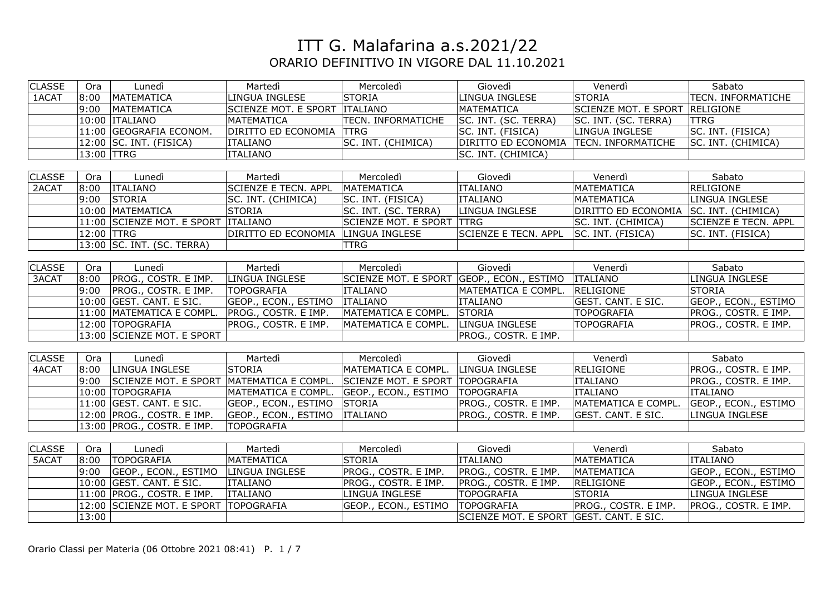| <b>CLASSE</b> | Ora        | Lunedì                                | Martedì                                  | Mercoledì                                                                | Giovedì                                 | Venerdì                                | Sabato                    |
|---------------|------------|---------------------------------------|------------------------------------------|--------------------------------------------------------------------------|-----------------------------------------|----------------------------------------|---------------------------|
| 1ACAT         | 8:00       | MATEMATICA                            | LINGUA INGLESE                           | <b>STORIA</b>                                                            | LINGUA INGLESE                          | <b>STORIA</b>                          | <b>TECN. INFORMATICHE</b> |
|               | 9:00       | MATEMATICA                            | SCIENZE MOT. E SPORT ITALIANO            |                                                                          | MATEMATICA                              | SCIENZE MOT. E SPORT RELIGIONE         |                           |
|               |            | 10:00 ITALIANO                        | MATEMATICA                               | <b>TECN. INFORMATICHE</b>                                                | SC. INT. (SC. TERRA)                    | SC. INT. (SC. TERRA)                   | <b>TTRG</b>               |
|               |            | 11:00 GEOGRAFIA ECONOM.               | DIRITTO ED ECONOMIA TTRG                 |                                                                          | SC. INT. (FISICA)                       | <b>LINGUA INGLESE</b>                  | SC. INT. (FISICA)         |
|               |            | $12:00$ SC. INT. (FISICA)             | <b>ITALIANO</b>                          | SC. INT. (CHIMICA)                                                       | DIRITTO ED ECONOMIA TECN. INFORMATICHE  |                                        | SC. INT. (CHIMICA)        |
|               | 13:00 TTRG |                                       | <b>ITALIANO</b>                          |                                                                          | SC. INT. (CHIMICA)                      |                                        |                           |
|               |            |                                       |                                          |                                                                          |                                         |                                        |                           |
| <b>CLASSE</b> | Ora        | Lunedì                                | Martedì                                  | Mercoledì                                                                | Giovedì                                 | Venerdì                                | Sabato                    |
| 2ACAT         | 8:00       | <b>ITALIANO</b>                       | <b>SCIENZE E TECN. APPL</b>              | MATEMATICA                                                               | <b>ITALIANO</b>                         | <b>MATEMATICA</b>                      | <b>RELIGIONE</b>          |
|               | 9:00       | STORIA                                | SC. INT. (CHIMICA)                       | SC. INT. (FISICA)                                                        | <b>ITALIANO</b>                         | <b>MATEMATICA</b>                      | LINGUA INGLESE            |
|               |            | 10:00 MATEMATICA                      | <b>STORIA</b>                            | SC. INT. (SC. TERRA)                                                     | LINGUA INGLESE                          | DIRITTO ED ECONOMIA SC. INT. (CHIMICA) |                           |
|               |            | 11:00 SCIENZE MOT. E SPORT ITALIANO   |                                          | SCIENZE MOT. E SPORT TRG                                                 |                                         | SC. INT. (CHIMICA)                     | SCIENZE E TECN. APPL      |
|               | 12:00 TTRG |                                       | DIRITTO ED ECONOMIA                      | LINGUA INGLESE                                                           | <b>SCIENZE E TECN. APPL</b>             | SC. INT. (FISICA)                      | SC. INT. (FISICA)         |
|               |            | 13:00 SC. INT. (SC. TERRA)            |                                          | <b>TTRG</b>                                                              |                                         |                                        |                           |
|               |            |                                       |                                          |                                                                          |                                         |                                        |                           |
| <b>CLASSE</b> | Ora        | Lunedì                                | Martedì                                  | Mercoledì                                                                | Giovedì                                 | Venerdì                                | Sabato                    |
| 3ACAT         | 8:00       | PROG., COSTR. E IMP.                  | LINGUA INGLESE                           | SCIENZE MOT. E SPORT GEOP., ECON., ESTIMO   ITALIANO                     |                                         |                                        | LINGUA INGLESE            |
|               | 9:00       | PROG., COSTR. E IMP.                  | <b>TOPOGRAFIA</b>                        | <b>ITALIANO</b>                                                          | MATEMATICA E COMPL.                     | RELIGIONE                              | <b>STORIA</b>             |
|               |            | 10:00 GEST. CANT. E SIC.              | GEOP., ECON., ESTIMO   ITALIANO          |                                                                          | <b>ITALIANO</b>                         | GEST. CANT. E SIC.                     | GEOP., ECON., ESTIMO      |
|               |            | 11:00 MATEMATICA E COMPL.             | PROG., COSTR. E IMP.                     | MATEMATICA E COMPL.                                                      | <b>STORIA</b>                           | <b>TOPOGRAFIA</b>                      | PROG., COSTR. E IMP.      |
|               |            | 12:00 TOPOGRAFIA                      | PROG., COSTR. E IMP.                     | MATEMATICA E COMPL.                                                      | LINGUA INGLESE                          | <b>TOPOGRAFIA</b>                      | PROG., COSTR. E IMP.      |
|               |            | 13:00 SCIENZE MOT. E SPORT            |                                          |                                                                          | PROG., COSTR. E IMP.                    |                                        |                           |
|               |            |                                       |                                          |                                                                          |                                         |                                        |                           |
| <b>CLASSE</b> | Ora        | Lunedì                                | Martedì                                  | Mercoledì                                                                | Giovedì                                 | Venerdì                                | Sabato                    |
| 4ACAT         | 8:00       | LINGUA INGLESE                        | STORIA                                   | MATEMATICA E COMPL.                                                      | LINGUA INGLESE                          | <b>RELIGIONE</b>                       | PROG., COSTR. E IMP.      |
|               | 9:00       |                                       |                                          | SCIENZE MOT. E SPORT MATEMATICA E COMPL. SCIENZE MOT. E SPORT TOPOGRAFIA |                                         | <b>ITALIANO</b>                        | PROG., COSTR. E IMP.      |
|               |            | 10:00 TOPOGRAFIA                      | MATEMATICA E COMPL. GEOP., ECON., ESTIMO |                                                                          | <b>TOPOGRAFIA</b>                       | <b>ITALIANO</b>                        | <b>ITALIANO</b>           |
|               |            | 11:00 GEST. CANT. E SIC.              | GEOP., ECON., ESTIMO STORIA              |                                                                          | PROG., COSTR. E IMP.                    | MATEMATICA E COMPL.                    | GEOP., ECON., ESTIMO      |
|               |            | 12:00 PROG., COSTR. E IMP.            | GEOP., ECON., ESTIMO   ITALIANO          |                                                                          | PROG., COSTR. E IMP.                    | <b>GEST. CANT. E SIC.</b>              | LINGUA INGLESE            |
|               |            | 13:00 PROG., COSTR. E IMP.            | <b>TOPOGRAFIA</b>                        |                                                                          |                                         |                                        |                           |
|               |            |                                       |                                          |                                                                          |                                         |                                        |                           |
| <b>CLASSE</b> | Ora        | Lunedì                                | Martedì                                  | Mercoledì                                                                | Giovedì                                 | Venerdì                                | Sabato                    |
| 5ACAT         | 8:00       | <b>TOPOGRAFIA</b>                     | <b>MATEMATICA</b>                        | <b>STORIA</b>                                                            | <b>ITALIANO</b>                         | MATEMATICA                             | <b>ITALIANO</b>           |
|               | 9:00       | GEOP., ECON., ESTIMO                  | LINGUA INGLESE                           | PROG., COSTR. E IMP.                                                     | PROG., COSTR. E IMP.                    | <b>MATEMATICA</b>                      | GEOP., ECON., ESTIMO      |
|               |            | 10:00 GEST. CANT. E SIC.              | <b>ITALIANO</b>                          | PROG., COSTR. E IMP.                                                     | PROG., COSTR. E IMP.                    | <b>RELIGIONE</b>                       | GEOP., ECON., ESTIMO      |
|               |            | 11:00 PROG., COSTR. E IMP.            | <b>ITALIANO</b>                          | LINGUA INGLESE                                                           | <b>TOPOGRAFIA</b>                       | <b>STORIA</b>                          | LINGUA INGLESE            |
|               |            | 12:00 SCIENZE MOT. E SPORT TOPOGRAFIA |                                          | GEOP., ECON., ESTIMO                                                     | <b>TOPOGRAFIA</b>                       | PROG., COSTR. E IMP.                   | PROG., COSTR. E IMP.      |
|               | 13:00      |                                       |                                          |                                                                          | SCIENZE MOT. E SPORT GEST. CANT. E SIC. |                                        |                           |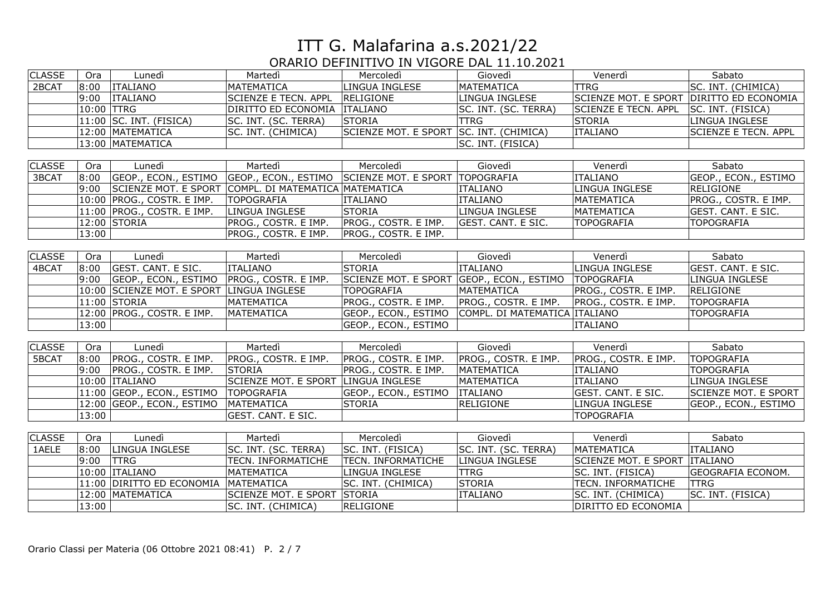| <b>CLASSE</b> | Ora        | Lunedì                                    | Martedì                                                                        | Mercoledì                               | Giovedì                                              | Venerdì                     | Sabato                                   |
|---------------|------------|-------------------------------------------|--------------------------------------------------------------------------------|-----------------------------------------|------------------------------------------------------|-----------------------------|------------------------------------------|
| 2BCAT         | 8:00       | <b>ITALIANO</b>                           | MATEMATICA                                                                     | LINGUA INGLESE                          | MATEMATICA                                           | <b>TTRG</b>                 | SC. INT. (CHIMICA)                       |
|               |            | 9:00 TTALIANO                             | <b>SCIENZE E TECN. APPL</b>                                                    | RELIGIONE                               | LINGUA INGLESE                                       |                             | SCIENZE MOT. E SPORT DIRITTO ED ECONOMIA |
|               | 10:00 TTRG |                                           | DIRITTO ED ECONOMIA ITALIANO                                                   |                                         | SC. INT. (SC. TERRA)                                 | SCIENZE E TECN. APPL        | SC. INT. (FISICA)                        |
|               |            | $11:00$ SC. INT. (FISICA)                 | SC. INT. (SC. TERRA)                                                           | <b>STORIA</b>                           | <b>TTRG</b>                                          | <b>STORIA</b>               | LINGUA INGLESE                           |
|               |            | 12:00 MATEMATICA                          | SC. INT. (CHIMICA)                                                             | SCIENZE MOT. E SPORT SC. INT. (CHIMICA) |                                                      | <b>ITALIANO</b>             | <b>SCIENZE E TECN. APPL</b>              |
|               |            | 13:00 MATEMATICA                          |                                                                                |                                         | SC. INT. (FISICA)                                    |                             |                                          |
|               |            |                                           |                                                                                |                                         |                                                      |                             |                                          |
| <b>CLASSE</b> | Ora        | Lunedì                                    | Martedì                                                                        | Mercoledì                               | Giovedì                                              | Venerdì                     | Sabato                                   |
| 3BCAT         |            |                                           | 8:00 GEOP., ECON., ESTIMO GEOP., ECON., ESTIMO SCIENZE MOT. E SPORT TOPOGRAFIA |                                         |                                                      | <b>ITALIANO</b>             | GEOP., ECON., ESTIMO                     |
|               | 9:00       |                                           | SCIENZE MOT. E SPORT COMPL. DI MATEMATICA MATEMATICA                           |                                         | <b>ITALIANO</b>                                      | LINGUA INGLESE              | RELIGIONE                                |
|               |            | 10:00 PROG., COSTR. E IMP.                | <b>TOPOGRAFIA</b>                                                              | <b>ITALIANO</b>                         | <b>ITALIANO</b>                                      | <b>MATEMATICA</b>           | PROG., COSTR. E IMP.                     |
|               |            | 11:00 PROG., COSTR. E IMP.                | LINGUA INGLESE                                                                 | <b>STORIA</b>                           | LINGUA INGLESE                                       | <b>MATEMATICA</b>           | <b>GEST. CANT. E SIC.</b>                |
|               |            | 12:00 STORIA                              | PROG., COSTR. E IMP.                                                           | PROG., COSTR. E IMP.                    | <b>GEST. CANT. E SIC.</b>                            | <b>TOPOGRAFIA</b>           | <b>TOPOGRAFIA</b>                        |
|               | 13:00      |                                           | PROG., COSTR. E IMP.                                                           | PROG., COSTR. E IMP.                    |                                                      |                             |                                          |
|               |            |                                           |                                                                                |                                         |                                                      |                             |                                          |
| <b>CLASSE</b> | Ora        | Lunedì                                    | Martedì                                                                        | Mercoledì                               | Giovedì                                              | Venerdì                     | Sabato                                   |
| 4BCAT         | 8:00       | GEST. CANT. E SIC.                        | <b>ITALIANO</b>                                                                | <b>STORIA</b>                           | <b>ITALIANO</b>                                      | LINGUA INGLESE              | <b>GEST. CANT. E SIC.</b>                |
|               | 9:00       | GEOP., ECON., ESTIMO PROG., COSTR. E IMP. |                                                                                |                                         | SCIENZE MOT. E SPORT GEOP., ECON., ESTIMO TOPOGRAFIA |                             | <b>LINGUA INGLESE</b>                    |
|               |            | 10:00 SCIENZE MOT. E SPORT LINGUA INGLESE |                                                                                | <b>TOPOGRAFIA</b>                       | MATEMATICA                                           | PROG., COSTR. E IMP.        | RELIGIONE                                |
|               |            | $11:00$ STORIA                            | MATEMATICA                                                                     | PROG., COSTR. E IMP.                    | PROG., COSTR. E IMP.                                 | PROG., COSTR. E IMP.        | <b>TOPOGRAFIA</b>                        |
|               |            | 12:00 PROG., COSTR. E IMP.                | MATEMATICA                                                                     | GEOP., ECON., ESTIMO                    | COMPL. DI MATEMATICA ITALIANO                        |                             | <b>TOPOGRAFIA</b>                        |
|               | 13:00      |                                           |                                                                                | GEOP., ECON., ESTIMO                    |                                                      | <b>ITALIANO</b>             |                                          |
|               |            |                                           |                                                                                |                                         |                                                      |                             |                                          |
| <b>CLASSE</b> | Ora        | Lunedì                                    | Martedì                                                                        | Mercoledì                               | Giovedì                                              | Venerdì                     | Sabato                                   |
| 5BCAT         | 8:00       | PROG., COSTR. E IMP.                      | PROG., COSTR. E IMP.                                                           | PROG., COSTR. E IMP.                    | PROG., COSTR. E IMP.                                 | PROG., COSTR. E IMP.        | <b>TOPOGRAFIA</b>                        |
|               | 9:00       | <b>PROG., COSTR. E IMP.</b>               | STORIA                                                                         | PROG., COSTR. E IMP.                    | <b>MATEMATICA</b>                                    | <b>ITALIANO</b>             | <b>TOPOGRAFIA</b>                        |
|               |            | 10:00 TTALIANO                            | SCIENZE MOT. E SPORT LINGUA INGLESE                                            |                                         | MATEMATICA                                           | <b>ITALIANO</b>             | LINGUA INGLESE                           |
|               |            | 11:00 GEOP., ECON., ESTIMO                | <b>TOPOGRAFIA</b>                                                              | GEOP., ECON., ESTIMO                    | <b>ITALIANO</b>                                      | GEST. CANT. E SIC.          | <b>SCIENZE MOT. E SPORT</b>              |
|               |            | 12:00 GEOP., ECON., ESTIMO                | MATEMATICA                                                                     | <b>STORIA</b>                           | <b>RELIGIONE</b>                                     | LINGUA INGLESE              | GEOP., ECON., ESTIMO                     |
|               | 13:00      |                                           | <b>GEST. CANT. E SIC.</b>                                                      |                                         |                                                      | <b>TOPOGRAFIA</b>           |                                          |
|               |            |                                           |                                                                                |                                         |                                                      |                             |                                          |
| <b>CLASSE</b> | Ora        | Lunedì                                    | Martedì                                                                        | Mercoledì                               | Giovedì                                              | Venerdì                     | Sabato                                   |
| 1AELE         | 8:00       | LINGUA INGLESE                            | SC. INT. (SC. TERRA)                                                           | SC. INT. (FISICA)                       | SC. INT. (SC. TERRA)                                 | <b>MATEMATICA</b>           | <b>ITALIANO</b>                          |
|               | 9:00       | <b>TTRG</b>                               | <b>TECN. INFORMATICHE</b>                                                      | TECN. INFORMATICHE                      | LINGUA INGLESE                                       | <b>SCIENZE MOT. E SPORT</b> | <b>ITALIANO</b>                          |
|               |            | 10:00 ITALIANO                            | MATEMATICA                                                                     | LINGUA INGLESE                          | <b>TTRG</b>                                          | SC. INT. (FISICA)           | <b>GEOGRAFIA ECONOM.</b>                 |
|               |            | 11:00 DIRITTO ED ECONOMIA                 | MATEMATICA                                                                     | SC. INT. (CHIMICA)                      | <b>STORIA</b>                                        | <b>TECN. INFORMATICHE</b>   | <b>TTRG</b>                              |
|               |            | 12:00   MATEMATICA                        | SCIENZE MOT. E SPORT                                                           | <b>STORIA</b>                           | <b>ITALIANO</b>                                      | SC. INT. (CHIMICA)          | SC. INT. (FISICA)                        |
|               | 13:00      |                                           | SC. INT. (CHIMICA)                                                             | <b>RELIGIONE</b>                        |                                                      | DIRITTO ED ECONOMIA         |                                          |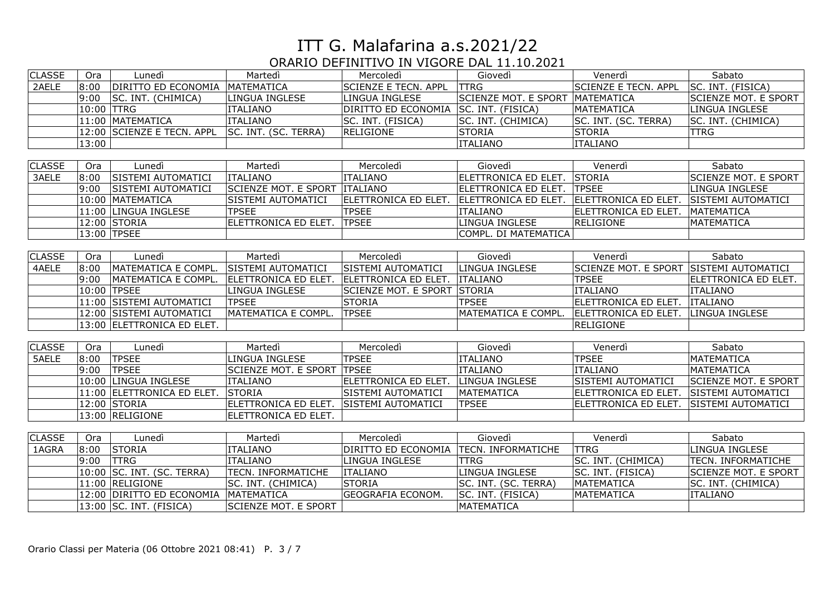| <b>CLASSE</b> | Ora        | Lunedì                         | Martedì                     | Mercoledì                   | Giovedì                         | Venerdì                     | Sabato                      |
|---------------|------------|--------------------------------|-----------------------------|-----------------------------|---------------------------------|-----------------------------|-----------------------------|
| 2AELE         | 8:00       | DIRITTO ED ECONOMIA MATEMATICA |                             | <b>SCIENZE E TECN. APPL</b> | <b>TTRG</b>                     | <b>SCIENZE E TECN. APPL</b> | SC. INT. (FISICA)           |
|               | 9:00       | SC. INT. (CHIMICA)             | LINGUA INGLESE              | LINGUA INGLESE              | SCIENZE MOT. E SPORT MATEMATICA |                             | <b>SCIENZE MOT. E SPORT</b> |
|               | 10:00 TTRG |                                | <b>ITALIANO</b>             | DIRITTO ED ECONOMIA         | SC. INT. (FISICA)               | <b>MATEMATICA</b>           | LINGUA INGLESE              |
|               |            | 11:00 MATEMATICA               | <b>ITALIANO</b>             | SC. INT. (FISICA)           | SC. INT. (CHIMICA)              | SC. INT. (SC. TERRA)        | SC. INT. (CHIMICA)          |
|               |            | 12:00 SCIENZE E TECN. APPL     | SC. INT. (SC. TERRA)        | RELIGIONE                   | <b>STORIA</b>                   | <b>STORIA</b>               | <b>TTRG</b>                 |
|               | 13:00      |                                |                             |                             | <b>ITALIANO</b>                 | <b>ITALIANO</b>             |                             |
|               |            |                                |                             |                             |                                 |                             |                             |
| <b>CLASSE</b> | Ora        | Lunedì                         | Martedì                     | Mercoledì                   | Giovedì                         | Venerdì                     | Sabato                      |
| 3AELE         | 8:00       | SISTEMI AUTOMATICI             | <b>ITALIANO</b>             | <b>ITALIANO</b>             | ELETTRONICA ED ELET.            | <b>STORIA</b>               | <b>SCIENZE MOT. E SPORT</b> |
|               | 9:00       | <b>SISTEMI AUTOMATICI</b>      | <b>SCIENZE MOT. E SPORT</b> | <b>ITALIANO</b>             | ELETTRONICA ED ELET.            | <b>TPSEE</b>                | <b>LINGUA INGLESE</b>       |
|               |            | 10:00 MATEMATICA               | SISTEMI AUTOMATICI          | ELETTRONICA ED ELET.        | ELETTRONICA ED ELET.            | ELETTRONICA ED ELET.        | <b>SISTEMI AUTOMATICI</b>   |
|               |            | 11:00 LINGUA INGLESE           | <b>TPSEE</b>                | <b>TPSEE</b>                | <b>ITALIANO</b>                 | ELETTRONICA ED ELET.        | MATEMATICA                  |
|               |            | 12:00 STORIA                   | ELETTRONICA ED ELET.        | <b>TPSEE</b>                | <b>LINGUA INGLESE</b>           | <b>RELIGIONE</b>            | <b>MATEMATICA</b>           |
|               |            | 13:00 TPSEE                    |                             |                             | COMPL. DI MATEMATICA            |                             |                             |
|               |            |                                |                             |                             |                                 |                             |                             |
| <b>CLASSE</b> | Ora        | Lunedì                         | Martedì                     | Mercoledì                   | Giovedì                         | Venerdì                     | Sabato                      |
| 4AELE         | 8:00       | MATEMATICA E COMPL.            | SISTEMI AUTOMATICI          | <b>SISTEMI AUTOMATICI</b>   | LINGUA INGLESE                  | <b>SCIENZE MOT. E SPORT</b> | <b>SISTEMI AUTOMATICI</b>   |
|               | 9:00       | MATEMATICA E COMPL.            | <b>ELETTRONICA ED ELET.</b> | ELETTRONICA ED ELET.        | <b>ITALIANO</b>                 | <b>TPSEE</b>                | ELETTRONICA ED ELET.        |
|               |            | 10:00 TPSEE                    | LINGUA INGLESE              | <b>SCIENZE MOT. E SPORT</b> | <b>STORIA</b>                   | <b>ITALIANO</b>             | <b>ITALIANO</b>             |
|               |            | 11:00 SISTEMI AUTOMATICI       | <b>TPSEE</b>                | <b>STORIA</b>               | <b>TPSEE</b>                    | ELETTRONICA ED ELET.        | <b>ITALIANO</b>             |
|               |            | 12:00 SISTEMI AUTOMATICI       | MATEMATICA E COMPL.         | <b>TPSEE</b>                | MATEMATICA E COMPL.             | ELETTRONICA ED ELET.        | LINGUA INGLESE              |
|               |            | 13:00 ELETTRONICA ED ELET.     |                             |                             |                                 | <b>RELIGIONE</b>            |                             |
|               |            |                                |                             |                             |                                 |                             |                             |
| <b>CLASSE</b> | Ora        | Lunedì                         | Martedì                     | Mercoledì                   | Giovedì                         | Venerdì                     | Sabato                      |
| 5AELE         | 8:00       | <b>TPSEE</b>                   | LINGUA INGLESE              | <b>TPSEE</b>                | <b>ITALIANO</b>                 | <b>TPSEE</b>                | <b>MATEMATICA</b>           |
|               | 9:00       | <b>TPSEE</b>                   | <b>SCIENZE MOT. E SPORT</b> | <b>TPSEE</b>                | <b>ITALIANO</b>                 | <b>ITALIANO</b>             | MATEMATICA                  |
|               |            | 10:00 LINGUA INGLESE           | <b>ITALIANO</b>             | ELETTRONICA ED ELET.        | LINGUA INGLESE                  | SISTEMI AUTOMATICI          | <b>SCIENZE MOT. E SPORT</b> |
|               |            | 11:00 ELETTRONICA ED ELET.     | STORIA                      | SISTEMI AUTOMATICI          | MATEMATICA                      | ELETTRONICA ED ELET.        | SISTEMI AUTOMATICI          |
|               |            | 12:00 STORIA                   | ELETTRONICA ED ELET.        | <b>SISTEMI AUTOMATICI</b>   | <b>TPSEE</b>                    | ELETTRONICA ED ELET.        | SISTEMI AUTOMATICI          |
|               |            | 13:00 RELIGIONE                | ELETTRONICA ED ELET.        |                             |                                 |                             |                             |
|               |            |                                |                             |                             |                                 |                             |                             |
| <b>CLASSE</b> | Ora        | Lunedì                         | Martedì                     | Mercoledì                   | Giovedì                         | Venerdì                     | Sabato                      |
| 1AGRA         | 8:00       | <b>STORIA</b>                  | <b>ITALIANO</b>             | DIRITTO ED ECONOMIA         | TECN. INFORMATICHE              | <b>TTRG</b>                 | LINGUA INGLESE              |
|               | 9:00       | <b>TTRG</b>                    | <b>ITALIANO</b>             | LINGUA INGLESE              | <b>TTRG</b>                     | SC. INT. (CHIMICA)          | TECN. INFORMATICHE          |
|               |            | 10:00 SC. INT. (SC. TERRA)     | TECN. INFORMATICHE          | <b>ITALIANO</b>             | LINGUA INGLESE                  | SC. INT. (FISICA)           | <b>SCIENZE MOT. E SPORT</b> |
|               |            | 11:00 RELIGIONE                | SC. INT. (CHIMICA)          | <b>STORIA</b>               | SC. INT. (SC. TERRA)            | MATEMATICA                  | SC. INT. (CHIMICA)          |
|               |            | 12:00 DIRITTO ED ECONOMIA      | MATEMATICA                  | <b>GEOGRAFIA ECONOM.</b>    | SC. INT. (FISICA)               | <b>MATEMATICA</b>           | <b>ITALIANO</b>             |
|               |            | 13:00 SC. INT. (FISICA)        | <b>SCIENZE MOT. E SPORT</b> |                             | MATEMATICA                      |                             |                             |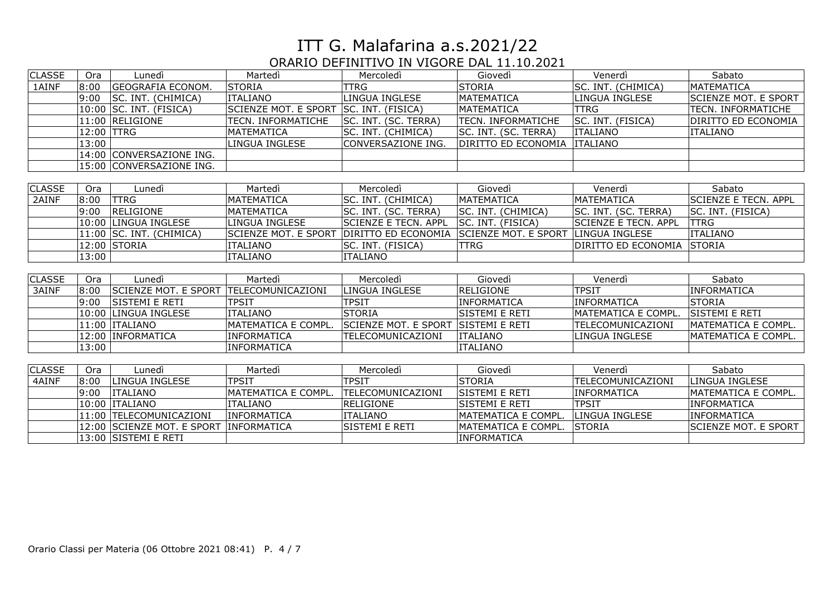| <b>CLASSE</b> | <b>Ora</b> | Lunedì                      | Martedì                     | Mercoledì                   | Giovedì                     | Venerdì              | Sabato                      |
|---------------|------------|-----------------------------|-----------------------------|-----------------------------|-----------------------------|----------------------|-----------------------------|
| 1AINF         | 8:00       | <b>GEOGRAFIA ECONOM.</b>    | <b>STORIA</b>               | TTRG                        | STORIA                      | SC. INT. (CHIMICA)   | MATEMATICA                  |
|               | 9:00       | SC. INT. (CHIMICA)          | <b>ITALIANO</b>             | LINGUA INGLESE              | <b>MATEMATICA</b>           | LINGUA INGLESE       | SCIENZE MOT. E SPORT        |
|               |            | 10:00  SC. INT. (FISICA)    | <b>SCIENZE MOT. E SPORT</b> | SC. INT. (FISICA)           | <b>MATEMATICA</b>           | <b>TTRG</b>          | TECN. INFORMATICHE          |
|               |            | 11:00 RELIGIONE             | TECN. INFORMATICHE          | SC. INT. (SC. TERRA)        | <b>TECN. INFORMATICHE</b>   | SC. INT. (FISICA)    | DIRITTO ED ECONOMIA         |
|               | 12:00 TTRG |                             | <b>MATEMATICA</b>           | SC. INT. (CHIMICA)          | SC. INT. (SC. TERRA)        | <b>ITALIANO</b>      | <b>ITALIANO</b>             |
|               | 13:00      |                             | LINGUA INGLESE              | CONVERSAZIONE ING.          | DIRITTO ED ECONOMIA         | <b>ITALIANO</b>      |                             |
|               |            | 14:00 CONVERSAZIONE ING.    |                             |                             |                             |                      |                             |
|               |            | 15:00 CONVERSAZIONE ING.    |                             |                             |                             |                      |                             |
|               |            |                             |                             |                             |                             |                      |                             |
| <b>CLASSE</b> | Ora        | Lunedì                      | Martedì                     | Mercoledì                   | Giovedì                     | Venerdì              | Sabato                      |
| 2AINF         | 8:00       | <b>TTRG</b>                 | <b>MATEMATICA</b>           | SC. INT. (CHIMICA)          | <b>MATEMATICA</b>           | MATEMATICA           | <b>SCIENZE E TECN. APPL</b> |
|               | 9:00       | <b>RELIGIONE</b>            | <b>MATEMATICA</b>           | SC. INT. (SC. TERRA)        | SC. INT. (CHIMICA)          | SC. INT. (SC. TERRA) | SC. INT. (FISICA)           |
|               |            | 10:00 LINGUA INGLESE        | LINGUA INGLESE              | <b>SCIENZE E TECN. APPL</b> | SC. INT. (FISICA)           | SCIENZE E TECN. APPL | <b>TTRG</b>                 |
|               |            | 11:00 SC. INT. (CHIMICA)    | <b>SCIENZE MOT. E SPORT</b> | DIRITTO ED ECONOMIA         | <b>SCIENZE MOT. E SPORT</b> | LINGUA INGLESE       | <b>ITALIANO</b>             |
|               |            | 12:00 STORIA                | <b>ITALIANO</b>             | SC. INT. (FISICA)           | <b>TTRG</b>                 | DIRITTO ED ECONOMIA  | <b>STORIA</b>               |
|               | 13:00      |                             | <b>ITALIANO</b>             | <b>ITALIANO</b>             |                             |                      |                             |
|               |            |                             |                             |                             |                             |                      |                             |
| <b>CLASSE</b> | Ora        | Lunedì                      | Martedì                     | Mercoledì                   | Giovedì                     | Venerdì              | Sabato                      |
| 3AINF         | 8:00       | <b>SCIENZE MOT. E SPORT</b> | TELECOMUNICAZIONI           | LINGUA INGLESE              | <b>RELIGIONE</b>            | <b>TPSIT</b>         | <b>INFORMATICA</b>          |
|               | 9:00       | <b>SISTEMI E RETI</b>       | <b>TPSIT</b>                | <b>TPSIT</b>                | <b>INFORMATICA</b>          | <b>INFORMATICA</b>   | <b>STORIA</b>               |
|               |            | 10:00  LINGUA INGLESE       | <b>ITALIANO</b>             | <b>STORIA</b>               | <b>SISTEMI E RETI</b>       | MATEMATICA E COMPL.  | SISTEMI E RETI              |
|               |            | 11:00 ITALIANO              | MATEMATICA E COMPL          | SCIENZE MOT. E SPORT        | <b>SISTEMI E RETI</b>       | TELECOMUNICAZIONI    | <b>MATEMATICA E COMPL.</b>  |
|               |            | 12:00  INFORMATICA          | <b>INFORMATICA</b>          | TELECOMUNICAZIONI           | <b>ITALIANO</b>             | LINGUA INGLESE       | <b>MATEMATICA E COMPL.</b>  |
|               | 13:00      |                             | INFORMATICA                 |                             | <b>ITALIANO</b>             |                      |                             |
|               |            |                             |                             |                             |                             |                      |                             |
| <b>CLASSE</b> | <b>Ora</b> | Lunedì                      | Martedì                     | Mercoledì                   | Giovedì                     | Venerdì              | Sabato                      |
| 4AINF         | 8:00       | LINGUA INGLESE              | <b>TPSIT</b>                | <b>TPSIT</b>                | STORIA                      | TELECOMUNICAZIONI    | LINGUA INGLESE              |
|               | 9:00       | <b>ITALIANO</b>             | MATEMATICA E COMPL.         | TELECOMUNICAZIONI           | SISTEMI E RETI              | <b>INFORMATICA</b>   | MATEMATICA E COMPL.         |
|               |            | 10:00 ITALIANO              | <b>ITALIANO</b>             | <b>RELIGIONE</b>            | SISTEMI E RETI              | <b>TPSIT</b>         | INFORMATICA                 |
|               |            | 11:00 TELECOMUNICAZIONI     | INFORMATICA                 | <b>ITALIANO</b>             | MATEMATICA E COMPL.         | LINGUA INGLESE       | lINFORMATICA                |
|               |            | 12:00  SCIENZE MOT. E SPORT | INFORMATICA                 | SISTEMI E RETI              | MATEMATICA E COMPL.         | <b>STORIA</b>        | <b>SCIENZE MOT. E SPORT</b> |
|               |            | 13:00 SISTEMI E RETI        |                             |                             | <b>INFORMATICA</b>          |                      |                             |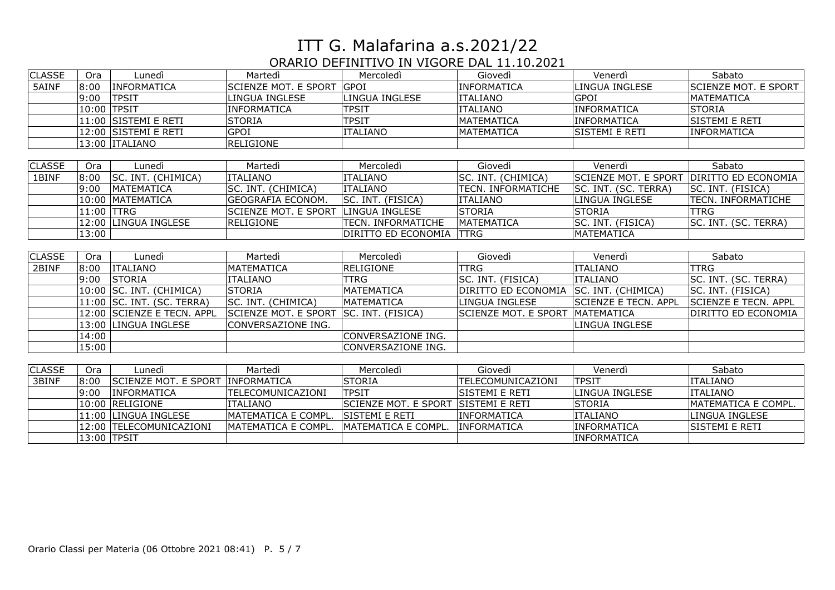| <b>CLASSE</b> | Ora         | Lunedì                      | Martedì                     | Mercoledì                 | Giovedì               | Venerdì                     | Sabato                      |
|---------------|-------------|-----------------------------|-----------------------------|---------------------------|-----------------------|-----------------------------|-----------------------------|
| 5AINF         | 8:00        | INFORMATICA                 | SCIENZE MOT. E SPORT        | <b>GPOI</b>               | INFORMATICA           | LINGUA INGLESE              | <b>SCIENZE MOT. E SPORT</b> |
|               | 9:00        | <b>TPSIT</b>                | LINGUA INGLESE              | <b>LINGUA INGLESE</b>     | <b>ITALIANO</b>       | <b>GPOI</b>                 | <b>MATEMATICA</b>           |
|               | 10:00 TPSIT |                             | INFORMATICA                 | <b>TPSIT</b>              | <b>ITALIANO</b>       | <b>INFORMATICA</b>          | <b>STORIA</b>               |
|               |             | 11:00 SISTEMI E RETI        | <b>STORIA</b>               | <b>TPSIT</b>              | <b>MATEMATICA</b>     | <b>INFORMATICA</b>          | SISTEMI E RETI              |
|               |             | 12:00  SISTEMI E RETI       | <b>GPOI</b>                 | <b>ITALIANO</b>           | <b>MATEMATICA</b>     | SISTEMI E RETI              | <b>INFORMATICA</b>          |
|               |             | 13:00 ITALIANO              | RELIGIONE                   |                           |                       |                             |                             |
|               |             |                             |                             |                           |                       |                             |                             |
| <b>CLASSE</b> | Ora         | Lunedì                      | Martedì                     | Mercoledì                 | Giovedì               | Venerdì                     | Sabato                      |
| 1BINF         | 8:00        | SC. INT. (CHIMICA)          | <b>ITALIANO</b>             | <b>ITALIANO</b>           | SC. INT. (CHIMICA)    | <b>SCIENZE MOT. E SPORT</b> | <b>DIRITTO ED ECONOMIA</b>  |
|               | 9:00        | <b>MATEMATICA</b>           | SC. INT. (CHIMICA)          | <b>ITALIANO</b>           | TECN. INFORMATICHE    | SC. INT. (SC. TERRA)        | SC. INT. (FISICA)           |
|               |             | 10:00  MATEMATICA           | <b>GEOGRAFIA ECONOM.</b>    | SC. INT. (FISICA)         | <b>ITALIANO</b>       | <b>LINGUA INGLESE</b>       | TECN. INFORMATICHE          |
|               | 11:00 TTRG  |                             | <b>SCIENZE MOT. E SPORT</b> | <b>LINGUA INGLESE</b>     | <b>STORIA</b>         | <b>STORIA</b>               | TTRG                        |
|               |             | 12:00 LINGUA INGLESE        | RELIGIONE                   | <b>TECN. INFORMATICHE</b> | MATEMATICA            | SC. INT. (FISICA)           | SC. INT. (SC. TERRA)        |
|               | 13:00       |                             |                             | DIRITTO ED ECONOMIA       | <b>ITTRG</b>          | MATEMATICA                  |                             |
|               |             |                             |                             |                           |                       |                             |                             |
| <b>CLASSE</b> | <b>Ora</b>  | Lunedì                      | Martedì                     | Mercoledì                 | Giovedì               | Venerdì                     | Sabato                      |
| 2BINF         | 8:00        | <b>ITALIANO</b>             | <b>MATEMATICA</b>           | <b>RELIGIONE</b>          | <b>TTRG</b>           | <b>ITALIANO</b>             | <b>TTRG</b>                 |
|               | 9:00        | <b>STORIA</b>               | <b>ITALIANO</b>             | <b>TTRG</b>               | SC. INT. (FISICA)     | <b>ITALIANO</b>             | SC. INT. (SC. TERRA)        |
|               |             | 10:00 SC. INT. (CHIMICA)    | STORIA                      | MATEMATICA                | DIRITTO ED ECONOMIA   | SC. INT. (CHIMICA)          | SC. INT. (FISICA)           |
|               |             | 11:00 SC. INT. (SC. TERRA)  | SC. INT. (CHIMICA)          | MATEMATICA                | LINGUA INGLESE        | <b>SCIENZE E TECN. APPL</b> | SCIENZE E TECN. APPL        |
|               |             | 12:00 SCIENZE E TECN. APPL  | SCIENZE MOT. E SPORT        | SC. INT. (FISICA)         | SCIENZE MOT. E SPORT  | <b>MATEMATICA</b>           | DIRITTO ED ECONOMIA         |
|               |             | 13:00 LINGUA INGLESE        | CONVERSAZIONE ING.          |                           |                       | LINGUA INGLESE              |                             |
|               | 14:00       |                             |                             | CONVERSAZIONE ING.        |                       |                             |                             |
|               | 15:00       |                             |                             | CONVERSAZIONE ING.        |                       |                             |                             |
|               |             |                             |                             |                           |                       |                             |                             |
| <b>CLASSE</b> | Ora         | Lunedì                      | Martedì                     | Mercoledì                 | Giovedì               | Venerdì                     | Sabato                      |
| 3BINF         | 8:00        | <b>SCIENZE MOT. E SPORT</b> | INFORMATICA                 | <b>STORIA</b>             | TELECOMUNICAZIONI     | <b>TPSIT</b>                | <b>ITALIANO</b>             |
|               | 9:00        | <b>INFORMATICA</b>          | TELECOMUNICAZIONI           | <b>TPSIT</b>              | lsistemi e reti       | LINGUA INGLESE              | <b>ITALIANO</b>             |
|               |             | 10:00 RELIGIONE             | <b>ITALIANO</b>             | SCIENZE MOT. E SPORT      | <b>SISTEMI E RETI</b> | <b>STORIA</b>               | MATEMATICA E COMPL.         |
|               |             | 11:00 LINGUA INGLESE        | IMATEMATICA E COMPL.        | SISTEMI E RETI            | <b>INFORMATICA</b>    | <b>ITALIANO</b>             | LINGUA INGLESE              |
|               |             | 12:00  TELECOMUNICAZIONI    | MATEMATICA E COMPL.         | MATEMATICA E COMPL.       | INFORMATICA           | INFORMATICA                 | SISTEMI E RETI              |
|               | 13:00 TPSIT |                             |                             |                           |                       | <b>INFORMATICA</b>          |                             |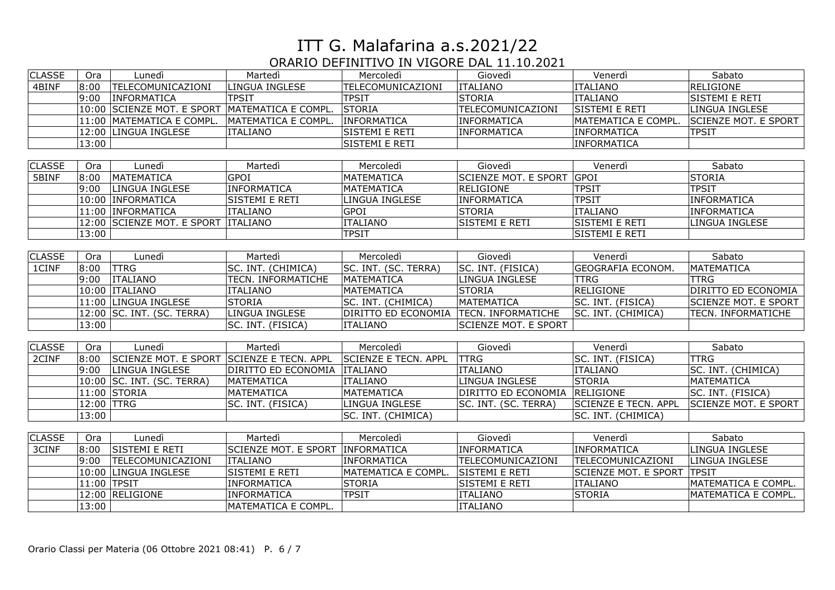| <b>CLASSE</b> | Ora         | Lunedì                                    | Martedì              | Mercoledì            | Giovedì                       | Venerdì                     | Sabato                      |
|---------------|-------------|-------------------------------------------|----------------------|----------------------|-------------------------------|-----------------------------|-----------------------------|
| 4BINF         | 8:00        | TELECOMUNICAZIONI                         | LINGUA INGLESE       | TELECOMUNICAZIONI    | ITALIANO                      | <b>ITALIANO</b>             | RELIGIONE                   |
|               | 9:00        | <b>INFORMATICA</b>                        | <b>TPSIT</b>         | <b>TPSIT</b>         | STORIA                        | <b>ITALIANO</b>             | SISTEMI E RETI              |
|               |             | 10:00 SCIENZE MOT. E SPORT                | MATEMATICA E COMPL.  | <b>STORIA</b>        | TELECOMUNICAZIONI             | SISTEMI E RETI              | LINGUA INGLESE              |
|               |             | 11:00 MATEMATICA E COMPL.                 | MATEMATICA E COMPL.  | INFORMATICA          | INFORMATICA                   | MATEMATICA E COMPL.         | <b>SCIENZE MOT. E SPORT</b> |
|               |             | 12:00 LINGUA INGLESE                      | <b>ITALIANO</b>      | SISTEMI E RETI       | INFORMATICA                   | <b>INFORMATICA</b>          | <b>TPSIT</b>                |
|               | 13:00       |                                           |                      | SISTEMI E RETI       |                               | <b>INFORMATICA</b>          |                             |
|               |             |                                           |                      |                      |                               |                             |                             |
| <b>CLASSE</b> | Ora         | Lunedì                                    | Martedì              | Mercoledì            | Giovedì                       | Venerdì                     | Sabato                      |
| 5BINF         | 8:00        | MATEMATICA                                | <b>GPOI</b>          | MATEMATICA           | <b>SCIENZE MOT. E SPORT</b>   | GPOI                        | STORIA                      |
|               | 9:00        | LINGUA INGLESE                            | <b>INFORMATICA</b>   | <b>MATEMATICA</b>    | <b>RELIGIONE</b>              | <b>TPSIT</b>                | <b>TPSIT</b>                |
|               |             | 10:00 INFORMATICA                         | SISTEMI E RETI       | LINGUA INGLESE       | <b>INFORMATICA</b>            | <b>TPSIT</b>                | <b>INFORMATICA</b>          |
|               |             | 11:00 INFORMATICA                         | <b>ITALIANO</b>      | <b>GPOI</b>          | <b>STORIA</b>                 | <b>ITALIANO</b>             | <b>INFORMATICA</b>          |
|               |             | 12:00 SCIENZE MOT. E SPORT                | <b>ITALIANO</b>      | <b>ITALIANO</b>      | SISTEMI E RETI                | SISTEMI E RETI              | LINGUA INGLESE              |
|               | 13:00       |                                           |                      | <b>TPSIT</b>         |                               | SISTEMI E RETI              |                             |
|               |             |                                           |                      |                      |                               |                             |                             |
| <b>CLASSE</b> | Ora         | Lunedì                                    | Martedì              | Mercoledì            | Giovedì                       | Venerdì                     | Sabato                      |
| 1CINF         | 8:00        | <b>TTRG</b>                               | SC. INT. (CHIMICA)   | SC. INT. (SC. TERRA) | SC. INT. (FISICA)             | <b>GEOGRAFIA ECONOM.</b>    | MATEMATICA                  |
|               | 9:00        | <b>ITALIANO</b>                           | TECN. INFORMATICHE   | MATEMATICA           | LINGUA INGLESE                | <b>TTRG</b>                 | <b>TTRG</b>                 |
|               |             | 10:00 ITALIANO                            | <b>ITALIANO</b>      | MATEMATICA           | <b>STORIA</b>                 | RELIGIONE                   | DIRITTO ED ECONOMIA         |
|               |             | 11:00 LINGUA INGLESE                      | STORIA               | SC. INT. (CHIMICA)   | <b>MATEMATICA</b>             | SC. INT. (FISICA)           | <b>SCIENZE MOT. E SPORT</b> |
|               |             | 12:00 SC. INT. (SC. TERRA)                | LINGUA INGLESE       | DIRITTO ED ECONOMIA  | TECN. INFORMATICHE            | SC. INT. (CHIMICA)          | TECN. INFORMATICHE          |
|               | 13:00       |                                           | SC. INT. (FISICA)    | <b>ITALIANO</b>      | <b>SCIENZE MOT. E SPORT</b>   |                             |                             |
|               |             |                                           |                      |                      |                               |                             |                             |
| <b>CLASSE</b> | Ora         | Lunedì                                    | Martedì              | Mercoledì            | Giovedì                       | Venerdì                     | Sabato                      |
| 2CINF         | 8:00        | SCIENZE MOT. E SPORT SCIENZE E TECN. APPL |                      | SCIENZE E TECN. APPL | <b>TTRG</b>                   | SC. INT. (FISICA)           | <b>TTRG</b>                 |
|               | 9:00        | LINGUA INGLESE                            | DIRITTO ED ECONOMIA  | <b>ITALIANO</b>      | <b>ITALIANO</b>               | <b>ITALIANO</b>             | SC. INT. (CHIMICA)          |
|               |             | 10:00 SC. INT. (SC. TERRA)                | MATEMATICA           | <b>ITALIANO</b>      | LINGUA INGLESE                | <b>STORIA</b>               | MATEMATICA                  |
|               |             | 11:00 STORIA                              | MATEMATICA           | MATEMATICA           | DIRITTO ED ECONOMIA RELIGIONE |                             | SC. INT. (FISICA)           |
|               | 12:00 TTRG  |                                           | SC. INT. (FISICA)    | LINGUA INGLESE       | SC. INT. (SC. TERRA)          | <b>SCIENZE E TECN. APPL</b> | SCIENZE MOT. E SPORT        |
|               | 13:00       |                                           |                      | SC. INT. (CHIMICA)   |                               | SC. INT. (CHIMICA)          |                             |
|               |             |                                           |                      |                      |                               |                             |                             |
| <b>CLASSE</b> | Ora         | Lunedì                                    | Martedì              | Mercoledì            | Giovedì                       | Venerdì                     | Sabato                      |
| 3CINF         | 8:00        | <b>SISTEMI E RETI</b>                     | SCIENZE MOT. E SPORT | <b>INFORMATICA</b>   | <b>INFORMATICA</b>            | <b>INFORMATICA</b>          | LINGUA INGLESE              |
|               | 9:00        | TELECOMUNICAZIONI                         | <b>ITALIANO</b>      | INFORMATICA          | TELECOMUNICAZIONI             | TELECOMUNICAZIONI           | LINGUA INGLESE              |
|               |             | 10:00 LINGUA INGLESE                      | SISTEMI E RETI       | MATEMATICA E COMPL.  | SISTEMI E RETI                | <b>SCIENZE MOT. E SPORT</b> | <b>TPSIT</b>                |
|               | 11:00 TPSIT |                                           | INFORMATICA          | STORIA               | SISTEMI E RETI                | <b>ITALIANO</b>             | MATEMATICA E COMPL.         |
|               |             | 12:00 RELIGIONE                           | <b>INFORMATICA</b>   | <b>TPSIT</b>         | <b>ITALIANO</b>               | <b>STORIA</b>               | MATEMATICA E COMPL.         |
|               | 13:00       |                                           | MATEMATICA E COMPL.  |                      | <b>ITALIANO</b>               |                             |                             |